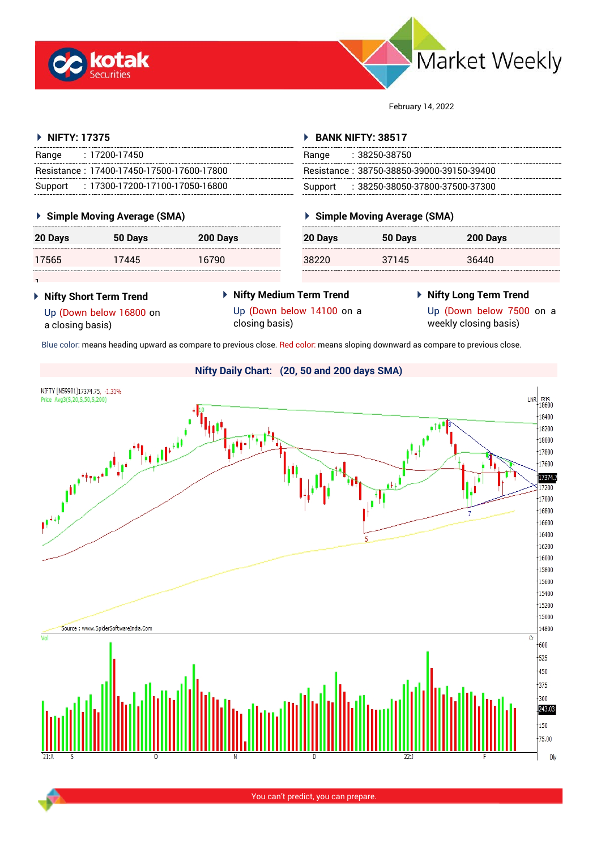



February 14, 2022

| ▶ NIFTY: 17375                             |                 |         | <b>BANK NIFTY: 38517</b>                  |                 |  |  |
|--------------------------------------------|-----------------|---------|-------------------------------------------|-----------------|--|--|
| : 17200-17450<br>Range                     |                 |         | :38250-38750<br>Range                     |                 |  |  |
| Resistance: 17400-17450-17500-17600-17800  |                 |         | Resistance: 38750-38850-39000-39150-39400 |                 |  |  |
| : 17300-17200-17100-17050-16800<br>Support |                 |         | Support: : 38250-38050-37800-37500-37300  |                 |  |  |
| ▶ Simple Moving Average (SMA)              |                 |         | ▶ Simple Moving Average (SMA)             |                 |  |  |
| 50 Davs                                    | <b>200 Davs</b> | 20 Davs | 50 Davs                                   | <b>200 Davs</b> |  |  |
|                                            |                 |         | 37145                                     |                 |  |  |
|                                            |                 |         |                                           |                 |  |  |
|                                            |                 |         |                                           |                 |  |  |

- **Nifty Short Term Trend** Up (Down below 16800 on
- **Nifty Medium Term Trend** Up (Down below 14100 on a
- **Nifty Long Term Trend**
- a closing basis)
- closing basis)
- Up (Down below 7500 on a
	- weekly closing basis)

Blue color: means heading upward as compare to previous close. Red color: means sloping downward as compare to previous close.



You can't predict, you can prepare.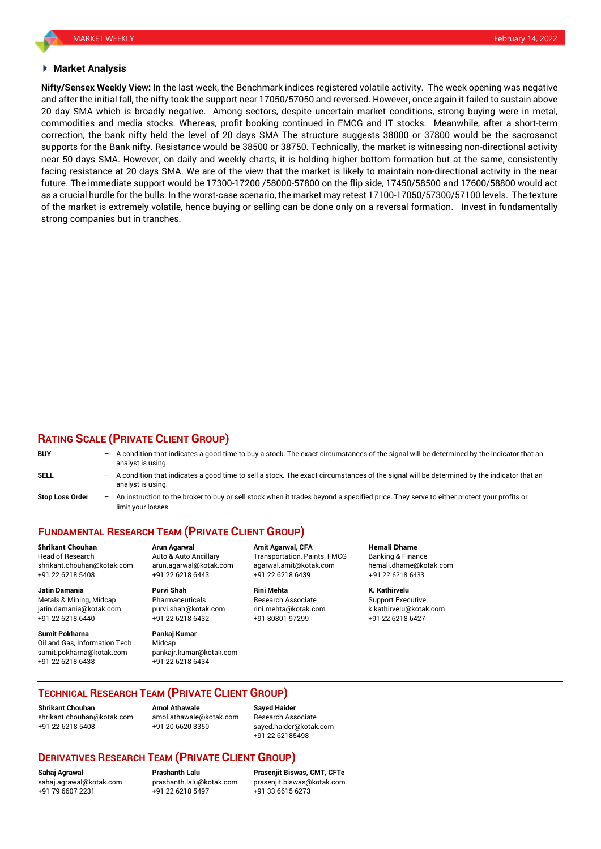#### **Market Analysis**

**Nifty/Sensex Weekly View:** In the last week, the Benchmark indices registered volatile activity. The week opening was negative and after the initial fall, the nifty took the support near 17050/57050 and reversed. However, once again it failed to sustain above 20 day SMA which is broadly negative. Among sectors, despite uncertain market conditions, strong buying were in metal, commodities and media stocks. Whereas, profit booking continued in FMCG and IT stocks. Meanwhile, after a short-term correction, the bank nifty held the level of 20 days SMA The structure suggests 38000 or 37800 would be the sacrosanct supports for the Bank nifty. Resistance would be 38500 or 38750. Technically, the market is witnessing non-directional activity near 50 days SMA. However, on daily and weekly charts, it is holding higher bottom formation but at the same, consistently facing resistance at 20 days SMA. We are of the view that the market is likely to maintain non-directional activity in the near future. The immediate support would be 17300-17200 /58000-57800 on the flip side, 17450/58500 and 17600/58800 would act as a crucial hurdle for the bulls. In the worst-case scenario, the market may retest 17100-17050/57300/57100 levels. The texture of the market is extremely volatile, hence buying or selling can be done only on a reversal formation. Invest in fundamentally strong companies but in tranches.

#### **RATING SCALE (PRIVATE CLIENT GROUP)**

| <b>BUY</b>             |     | $-$ A condition that indicates a good time to buy a stock. The exact circumstances of the signal will be determined by the indicator that an<br>analyst is using. |
|------------------------|-----|-------------------------------------------------------------------------------------------------------------------------------------------------------------------|
| <b>SELL</b>            |     | A condition that indicates a good time to sell a stock. The exact circumstances of the signal will be determined by the indicator that an<br>analyst is using.    |
| <b>Stop Loss Order</b> | $-$ | An instruction to the broker to buy or sell stock when it trades beyond a specified price. They serve to either protect your profits or<br>limit your losses.     |

# **FUNDAMENTAL RESEARCH TEAM (PRIVATE CLIENT GROUP)**

Head of Research **Auto & Auto Ancillary** Transportation, Paints, FMCG Banking & Finance shrikant.chouhan@kotak.com arun.agarwal@kotak.com [agarwal.amit@kotak.com](mailto:agarwal.amit@kotak.com) hemali.dhame@kotak.com +91 22 6218 5408 +91 22 6218 6443 +91 22 6218 6439 +91 22 6218 6433

Metals & Mining, Midcap Pharmaceuticals Research Associate Support Executive jatin.damania@kotak.com [purvi.shah@kotak.com](mailto:purvi.shah@kotak.com) rini.mehta@kotak.com [k.kathirvelu@kotak.com](mailto:k.kathirvelu@kotak.com) +91 22 6218 6440 +91 22 6218 6432 +91 80801 97299 +91 22 6218 6427

**Sumit Pokharna** Pankaj Kumar Oil and Gas, Information Tech Midcap<br>sumit pokharna@kotak.com pankair kumar@kotak.com sumit.pokharna@kotak.com +91 22 6218 6438 +91 22 6218 6434

**Jatin Damania Purvi Shah Rini Mehta K. Kathirvelu**

**Shrikant Chouhan Arun Agarwal Amit Agarwal, CFA Hemali Dhame**

## **TECHNICAL RESEARCH TEAM (PRIVATE CLIENT GROUP)**

**Shrikant Chouhan Amol Athawale Sayed Haider** [shrikant.chouhan@kotak.com](mailto:shrikant.chouhan@kotak.com) [amol.athawale@kotak.com](mailto:amol.athawale@kotak.com) Research Associate +91 22 6218 5408 +91 20 6620 3350 [sayed.haider@kotak.com](mailto:sayed.haider@kotak.com)

+91 22 62185498

## **DERIVATIVES RESEARCH TEAM (PRIVATE CLIENT GROUP)**

+91 79 6607 2231 +91 22 6218 5497 +91 33 6615 6273

**Sahaj Agrawal Prashanth Lalu Prasenjit Biswas, CMT, CFTe** [sahaj.agrawal@kotak.com](mailto:sahaj.agrawal@kotak.com) [prashanth.lalu@kotak.com](mailto:prashanth.lalu@kotak.com) [prasenjit.biswas@kotak.com](mailto:prasenjit.biswas@kotak.com)